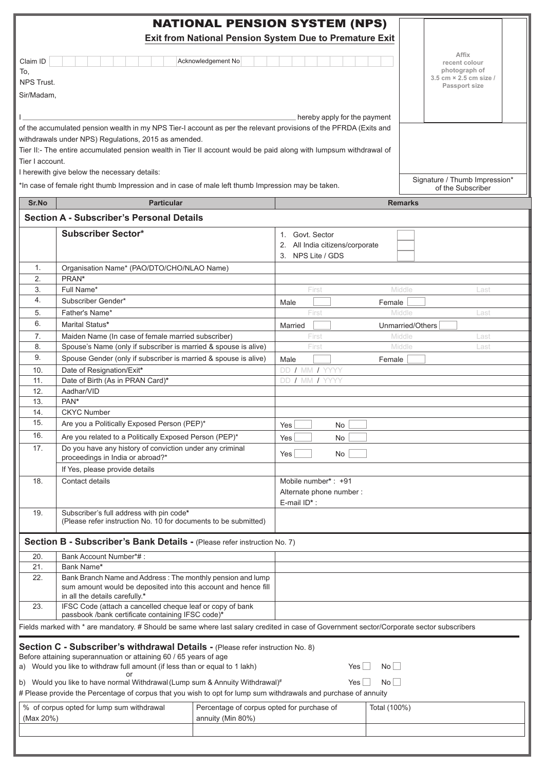|                                                                                                                                                                                                                                                                                                                                                                                                                                                                                               |                                                                                                                                                                                                           |  | <b>NATIONAL PENSION SYSTEM (NPS)</b><br>Exit from National Pension System Due to Premature Exit |                |                                                                                    |
|-----------------------------------------------------------------------------------------------------------------------------------------------------------------------------------------------------------------------------------------------------------------------------------------------------------------------------------------------------------------------------------------------------------------------------------------------------------------------------------------------|-----------------------------------------------------------------------------------------------------------------------------------------------------------------------------------------------------------|--|-------------------------------------------------------------------------------------------------|----------------|------------------------------------------------------------------------------------|
| Claim ID<br>Acknowledgement No<br>To,<br><b>NPS Trust.</b><br>Sir/Madam,                                                                                                                                                                                                                                                                                                                                                                                                                      |                                                                                                                                                                                                           |  |                                                                                                 |                | Affix<br>recent colour<br>photograph of<br>3.5 cm × 2.5 cm size /<br>Passport size |
|                                                                                                                                                                                                                                                                                                                                                                                                                                                                                               | hereby apply for the payment<br>of the accumulated pension wealth in my NPS Tier-I account as per the relevant provisions of the PFRDA (Exits and<br>withdrawals under NPS) Regulations, 2015 as amended. |  |                                                                                                 |                |                                                                                    |
|                                                                                                                                                                                                                                                                                                                                                                                                                                                                                               | Tier II:- The entire accumulated pension wealth in Tier II account would be paid along with lumpsum withdrawal of<br>Tier I account.<br>I herewith give below the necessary details:                      |  |                                                                                                 |                | Signature / Thumb Impression*                                                      |
|                                                                                                                                                                                                                                                                                                                                                                                                                                                                                               | *In case of female right thumb Impression and in case of male left thumb Impression may be taken.                                                                                                         |  |                                                                                                 |                | of the Subscriber                                                                  |
| Sr.No                                                                                                                                                                                                                                                                                                                                                                                                                                                                                         | <b>Particular</b>                                                                                                                                                                                         |  |                                                                                                 | <b>Remarks</b> |                                                                                    |
|                                                                                                                                                                                                                                                                                                                                                                                                                                                                                               | <b>Section A - Subscriber's Personal Details</b>                                                                                                                                                          |  |                                                                                                 |                |                                                                                    |
|                                                                                                                                                                                                                                                                                                                                                                                                                                                                                               | <b>Subscriber Sector*</b>                                                                                                                                                                                 |  | 1. Govt. Sector<br>2. All India citizens/corporate<br>3. NPS Lite / GDS                         |                |                                                                                    |
| 1.<br>2.<br>3.                                                                                                                                                                                                                                                                                                                                                                                                                                                                                | Organisation Name* (PAO/DTO/CHO/NLAO Name)<br>PRAN*<br>Full Name*                                                                                                                                         |  | First                                                                                           | Middle         | Last                                                                               |
| 4.                                                                                                                                                                                                                                                                                                                                                                                                                                                                                            | Subscriber Gender*                                                                                                                                                                                        |  | Male                                                                                            | Female         |                                                                                    |
| 5.                                                                                                                                                                                                                                                                                                                                                                                                                                                                                            | Father's Name*                                                                                                                                                                                            |  | First                                                                                           | Middle         | Last                                                                               |
| 6.                                                                                                                                                                                                                                                                                                                                                                                                                                                                                            | Marital Status*                                                                                                                                                                                           |  | Married                                                                                         |                | Unmarried/Others                                                                   |
| 7.                                                                                                                                                                                                                                                                                                                                                                                                                                                                                            | Maiden Name (In case of female married subscriber)                                                                                                                                                        |  | First                                                                                           | Middle         | Last                                                                               |
| 8.                                                                                                                                                                                                                                                                                                                                                                                                                                                                                            | Spouse's Name (only if subscriber is married & spouse is alive)                                                                                                                                           |  | First                                                                                           | Middle         | Last                                                                               |
| 9.                                                                                                                                                                                                                                                                                                                                                                                                                                                                                            | Spouse Gender (only if subscriber is married & spouse is alive)                                                                                                                                           |  | Male                                                                                            | Female         |                                                                                    |
| 10.                                                                                                                                                                                                                                                                                                                                                                                                                                                                                           | Date of Resignation/Exit*                                                                                                                                                                                 |  | DD / MM / YYYY                                                                                  |                |                                                                                    |
| 11.                                                                                                                                                                                                                                                                                                                                                                                                                                                                                           | Date of Birth (As in PRAN Card)*                                                                                                                                                                          |  | DD / MM / YYYY                                                                                  |                |                                                                                    |
| 12.<br>13.                                                                                                                                                                                                                                                                                                                                                                                                                                                                                    | Aadhar/VID<br>PAN*                                                                                                                                                                                        |  |                                                                                                 |                |                                                                                    |
| 14.                                                                                                                                                                                                                                                                                                                                                                                                                                                                                           | <b>CKYC Number</b>                                                                                                                                                                                        |  |                                                                                                 |                |                                                                                    |
| 15.                                                                                                                                                                                                                                                                                                                                                                                                                                                                                           | Are you a Politically Exposed Person (PEP)*                                                                                                                                                               |  | Yes<br>No                                                                                       |                |                                                                                    |
| 16.                                                                                                                                                                                                                                                                                                                                                                                                                                                                                           | Are you related to a Politically Exposed Person (PEP)*                                                                                                                                                    |  | <b>No</b><br>Yes                                                                                |                |                                                                                    |
| 17.                                                                                                                                                                                                                                                                                                                                                                                                                                                                                           | Do you have any history of conviction under any criminal<br>proceedings in India or abroad?*                                                                                                              |  | Yes<br>No                                                                                       |                |                                                                                    |
|                                                                                                                                                                                                                                                                                                                                                                                                                                                                                               | If Yes, please provide details                                                                                                                                                                            |  |                                                                                                 |                |                                                                                    |
| 18.                                                                                                                                                                                                                                                                                                                                                                                                                                                                                           | Contact details                                                                                                                                                                                           |  | Mobile number*: +91<br>Alternate phone number:<br>E-mail ID*:                                   |                |                                                                                    |
| 19.                                                                                                                                                                                                                                                                                                                                                                                                                                                                                           | Subscriber's full address with pin code*<br>(Please refer instruction No. 10 for documents to be submitted)                                                                                               |  |                                                                                                 |                |                                                                                    |
|                                                                                                                                                                                                                                                                                                                                                                                                                                                                                               | Section B - Subscriber's Bank Details - (Please refer instruction No. 7)                                                                                                                                  |  |                                                                                                 |                |                                                                                    |
| 20.                                                                                                                                                                                                                                                                                                                                                                                                                                                                                           | Bank Account Number*#:                                                                                                                                                                                    |  |                                                                                                 |                |                                                                                    |
| 21.<br>22.                                                                                                                                                                                                                                                                                                                                                                                                                                                                                    | Bank Name*<br>Bank Branch Name and Address: The monthly pension and lump<br>sum amount would be deposited into this account and hence fill                                                                |  |                                                                                                 |                |                                                                                    |
| 23.                                                                                                                                                                                                                                                                                                                                                                                                                                                                                           | in all the details carefully.*<br>IFSC Code (attach a cancelled cheque leaf or copy of bank<br>passbook /bank certificate containing IFSC code)*                                                          |  |                                                                                                 |                |                                                                                    |
|                                                                                                                                                                                                                                                                                                                                                                                                                                                                                               | Fields marked with * are mandatory. # Should be same where last salary credited in case of Government sector/Corporate sector subscribers                                                                 |  |                                                                                                 |                |                                                                                    |
| Section C - Subscriber's withdrawal Details - (Please refer instruction No. 8)<br>Before attaining superannuation or attaining 60 / 65 years of age<br>a) Would you like to withdraw full amount (if less than or equal to 1 lakh)<br>No<br>$Yes \mid \mid$<br>or<br>No<br>b) Would you like to have normal Withdrawal (Lump sum & Annuity Withdrawal)#<br>$Yes \mid \mid$<br># Please provide the Percentage of corpus that you wish to opt for lump sum withdrawals and purchase of annuity |                                                                                                                                                                                                           |  |                                                                                                 |                |                                                                                    |
| % of corpus opted for lump sum withdrawal<br>Percentage of corpus opted for purchase of<br>Total (100%)<br>(Max 20%)<br>annuity (Min 80%)                                                                                                                                                                                                                                                                                                                                                     |                                                                                                                                                                                                           |  |                                                                                                 |                |                                                                                    |
|                                                                                                                                                                                                                                                                                                                                                                                                                                                                                               |                                                                                                                                                                                                           |  |                                                                                                 |                |                                                                                    |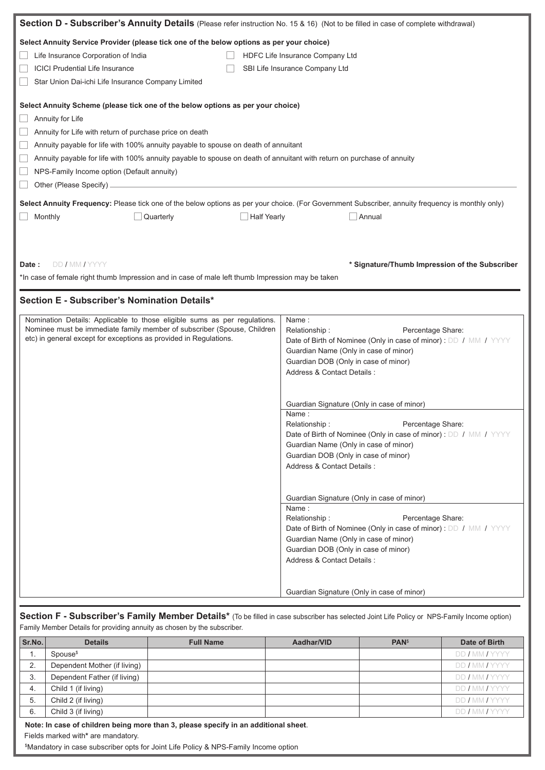| Section D - Subscriber's Annuity Details (Please refer instruction No. 15 & 16) (Not to be filled in case of complete withdrawal)                                                                                                                                                                                                                                                                                                                      |                                                                                                                                                                                                                                                                                |  |  |  |
|--------------------------------------------------------------------------------------------------------------------------------------------------------------------------------------------------------------------------------------------------------------------------------------------------------------------------------------------------------------------------------------------------------------------------------------------------------|--------------------------------------------------------------------------------------------------------------------------------------------------------------------------------------------------------------------------------------------------------------------------------|--|--|--|
| Select Annuity Service Provider (please tick one of the below options as per your choice)<br>Life Insurance Corporation of India<br>HDFC Life Insurance Company Ltd<br><b>ICICI Prudential Life Insurance</b><br>SBI Life Insurance Company Ltd<br>Star Union Dai-ichi Life Insurance Company Limited                                                                                                                                                  |                                                                                                                                                                                                                                                                                |  |  |  |
| Select Annuity Scheme (please tick one of the below options as per your choice)<br>Annuity for Life<br>Annuity for Life with return of purchase price on death<br>Annuity payable for life with 100% annuity payable to spouse on death of annuitant<br>Annuity payable for life with 100% annuity payable to spouse on death of annuitant with return on purchase of annuity<br>NPS-Family Income option (Default annuity)<br>Other (Please Specify). |                                                                                                                                                                                                                                                                                |  |  |  |
| Select Annuity Frequency: Please tick one of the below options as per your choice. (For Government Subscriber, annuity frequency is monthly only)<br>Monthly<br>Quarterly<br><b>Half Yearly</b>                                                                                                                                                                                                                                                        | Annual                                                                                                                                                                                                                                                                         |  |  |  |
| DD / MM / YYYY<br>* Signature/Thumb Impression of the Subscriber<br>Date:<br>*In case of female right thumb Impression and in case of male left thumb Impression may be taken                                                                                                                                                                                                                                                                          |                                                                                                                                                                                                                                                                                |  |  |  |
| Section E - Subscriber's Nomination Details*                                                                                                                                                                                                                                                                                                                                                                                                           |                                                                                                                                                                                                                                                                                |  |  |  |
| Nomination Details: Applicable to those eligible sums as per regulations.<br>Nominee must be immediate family member of subscriber (Spouse, Children<br>etc) in general except for exceptions as provided in Regulations.                                                                                                                                                                                                                              | Name:<br>Relationship:<br>Percentage Share:<br>Date of Birth of Nominee (Only in case of minor) : DD / MM / YYYY<br>Guardian Name (Only in case of minor)<br>Guardian DOB (Only in case of minor)<br>Address & Contact Details :                                               |  |  |  |
|                                                                                                                                                                                                                                                                                                                                                                                                                                                        | Guardian Signature (Only in case of minor)                                                                                                                                                                                                                                     |  |  |  |
|                                                                                                                                                                                                                                                                                                                                                                                                                                                        | Name:<br>Percentage Share:<br>Relationship:<br>Date of Birth of Nominee (Only in case of minor) : DD / MM / YYYY<br>Guardian Name (Only in case of minor)<br>Guardian DOB (Only in case of minor)<br>Address & Contact Details :                                               |  |  |  |
|                                                                                                                                                                                                                                                                                                                                                                                                                                                        | Guardian Signature (Only in case of minor)<br>Name:<br>Relationship:<br>Percentage Share:<br>Date of Birth of Nominee (Only in case of minor) : DD / MM / YYYY<br>Guardian Name (Only in case of minor)<br>Guardian DOB (Only in case of minor)<br>Address & Contact Details : |  |  |  |
| Guardian Signature (Only in case of minor)<br>Section F - Subscriber's Family Member Details* (To be filled in case subscriber has selected Joint Life Policy or NPS-Family Income option)                                                                                                                                                                                                                                                             |                                                                                                                                                                                                                                                                                |  |  |  |

| Sr.No. | <b>Details</b>                                                                      | <b>Full Name</b> | Aadhar/VID | <b>PAN</b> <sup>\$</sup> | Date of Birth  |
|--------|-------------------------------------------------------------------------------------|------------------|------------|--------------------------|----------------|
| ι.     | Spouse <sup>\$</sup>                                                                |                  |            |                          | DD / MM / YYYY |
| 2.     | Dependent Mother (if living)                                                        |                  |            |                          | DD / MM / YYYY |
| 3.     | Dependent Father (if living)                                                        |                  |            |                          | DD / MM / YYYY |
| 4.     | Child 1 (if living)                                                                 |                  |            |                          | DD / MM / YYYY |
| 5.     | Child 2 (if living)                                                                 |                  |            |                          | DD / MM / YYYY |
| 6.     | Child 3 (if living)                                                                 |                  |            |                          | DD / MM / YYYY |
|        | Note: In case of children being more than 3, please specify in an additional sheet. |                  |            |                          |                |

\$ Mandatory in case subscriber opts for Joint Life Policy & NPS-Family Income option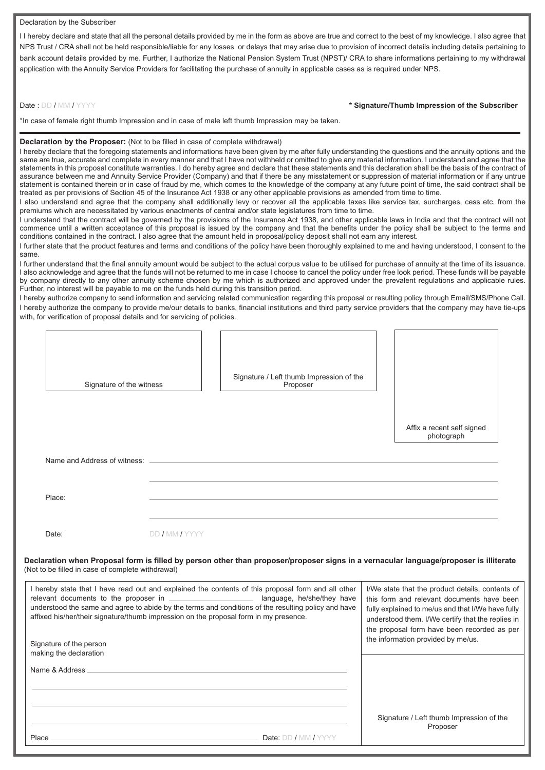#### Declaration by the Subscriber

I I hereby declare and state that all the personal details provided by me in the form as above are true and correct to the best of my knowledge. I also agree that NPS Trust / CRA shall not be held responsible/liable for any losses or delays that may arise due to provision of incorrect details including details pertaining to bank account details provided by me. Further, I authorize the National Pension System Trust (NPST)/ CRA to share informations pertaining to my withdrawal application with the Annuity Service Providers for facilitating the purchase of annuity in applicable cases as is required under NPS.

#### Date : DD / MM / YYYY **\* Signature/Thumb Impression of the Subscriber**

\*In case of female right thumb Impression and in case of male left thumb Impression may be taken.

#### **Declaration by the Proposer:** (Not to be filled in case of complete withdrawal)

I hereby declare that the foregoing statements and informations have been given by me after fully understanding the questions and the annuity options and the same are true, accurate and complete in every manner and that I have not withheld or omitted to give any material information. I understand and agree that the statements in this proposal constitute warranties. I do hereby agree and declare that these statements and this declaration shall be the basis of the contract of assurance between me and Annuity Service Provider (Company) and that if there be any misstatement or suppression of material information or if any untrue statement is contained therein or in case of fraud by me, which comes to the knowledge of the company at any future point of time, the said contract shall be treated as per provisions of Section 45 of the Insurance Act 1938 or any other applicable provisions as amended from time to time.

I also understand and agree that the company shall additionally levy or recover all the applicable taxes like service tax, surcharges, cess etc. from the premiums which are necessitated by various enactments of central and/or state legislatures from time to time.

I understand that the contract will be governed by the provisions of the Insurance Act 1938, and other applicable laws in India and that the contract will not commence until a written acceptance of this proposal is issued by the company and that the benefits under the policy shall be subject to the terms and conditions contained in the contract. I also agree that the amount held in proposal/policy deposit shall not earn any interest.

I further state that the product features and terms and conditions of the policy have been thoroughly explained to me and having understood, I consent to the same.

I further understand that the final annuity amount would be subject to the actual corpus value to be utilised for purchase of annuity at the time of its issuance. I also acknowledge and agree that the funds will not be returned to me in case I choose to cancel the policy under free look period. These funds will be payable by company directly to any other annuity scheme chosen by me which is authorized and approved under the prevalent regulations and applicable rules. Further, no interest will be payable to me on the funds held during this transition period.

I hereby authorize company to send information and servicing related communication regarding this proposal or resulting policy through Email/SMS/Phone Call. I hereby authorize the company to provide me/our details to banks, financial institutions and third party service providers that the company may have tie-ups with, for verification of proposal details and for servicing of policies.

| Signature of the witness                                                                                                                                                                                                                                                                           | Signature / Left thumb Impression of the<br>Proposer                                                                                                                                                                                                    | Affix a recent self signed<br>photograph |
|----------------------------------------------------------------------------------------------------------------------------------------------------------------------------------------------------------------------------------------------------------------------------------------------------|---------------------------------------------------------------------------------------------------------------------------------------------------------------------------------------------------------------------------------------------------------|------------------------------------------|
| Name and Address of witness:                                                                                                                                                                                                                                                                       |                                                                                                                                                                                                                                                         |                                          |
| Place:                                                                                                                                                                                                                                                                                             |                                                                                                                                                                                                                                                         |                                          |
| Date:                                                                                                                                                                                                                                                                                              | DD / MM / YYYY                                                                                                                                                                                                                                          |                                          |
| (Not to be filled in case of complete withdrawal)                                                                                                                                                                                                                                                  | Declaration when Proposal form is filled by person other than proposer/proposer signs in a vernacular language/proposer is illiterate                                                                                                                   |                                          |
| I hereby state that I have read out and explained the contents of this proposal form and all other<br>understood the same and agree to abide by the terms and conditions of the resulting policy and have<br>affixed his/her/their signature/thumb impression on the proposal form in my presence. | I/We state that the product details, contents of<br>this form and relevant documents have been<br>fully explained to me/us and that I/We have fully<br>understood them. I/We certify that the replies in<br>the proposal form have been recorded as per |                                          |
| Signature of the person<br>making the declaration                                                                                                                                                                                                                                                  |                                                                                                                                                                                                                                                         | the information provided by me/us.       |
| Name & Address                                                                                                                                                                                                                                                                                     |                                                                                                                                                                                                                                                         |                                          |
|                                                                                                                                                                                                                                                                                                    |                                                                                                                                                                                                                                                         | Signature / Left thumb Impression of the |
| Place                                                                                                                                                                                                                                                                                              | Date: DD / MM / YYYY                                                                                                                                                                                                                                    | Proposer                                 |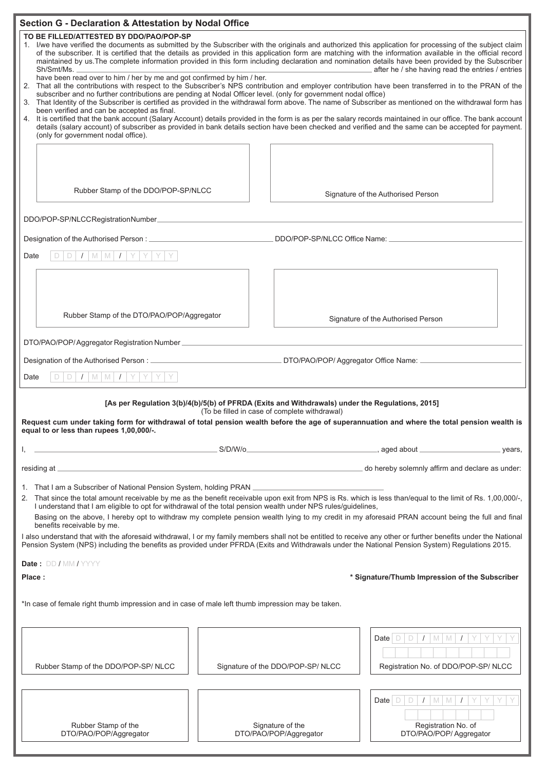| <b>Section G - Declaration &amp; Attestation by Nodal Office</b>                                                                                                                                                                                                                                                                                                                                                                                                                                                                                                                                                                                                                                                                                                                                                                                            |                                                                                                                                                                                                                                                                                                                                                                                                                                     |                                            |                                                                            |  |
|-------------------------------------------------------------------------------------------------------------------------------------------------------------------------------------------------------------------------------------------------------------------------------------------------------------------------------------------------------------------------------------------------------------------------------------------------------------------------------------------------------------------------------------------------------------------------------------------------------------------------------------------------------------------------------------------------------------------------------------------------------------------------------------------------------------------------------------------------------------|-------------------------------------------------------------------------------------------------------------------------------------------------------------------------------------------------------------------------------------------------------------------------------------------------------------------------------------------------------------------------------------------------------------------------------------|--------------------------------------------|----------------------------------------------------------------------------|--|
| TO BE FILLED/ATTESTED BY DDO/PAO/POP-SP<br>1. I/we have verified the documents as submitted by the Subscriber with the originals and authorized this application for processing of the subject claim<br>of the subscriber. It is certified that the details as provided in this application form are matching with the information available in the official record<br>maintained by us. The complete information provided in this form including declaration and nomination details have been provided by the Subscriber<br>after he / she having read the entries / entries<br>Sh/Smt/Ms.<br>have been read over to him / her by me and got confirmed by him / her.                                                                                                                                                                                       |                                                                                                                                                                                                                                                                                                                                                                                                                                     |                                            |                                                                            |  |
|                                                                                                                                                                                                                                                                                                                                                                                                                                                                                                                                                                                                                                                                                                                                                                                                                                                             | 2. That all the contributions with respect to the Subscriber's NPS contribution and employer contribution have been transferred in to the PRAN of the<br>subscriber and no further contributions are pending at Nodal Officer level. (only for government nodal office)<br>3. That Identity of the Subscriber is certified as provided in the withdrawal form above. The name of Subscriber as mentioned on the withdrawal form has |                                            |                                                                            |  |
| been verified and can be accepted as final.<br>(only for government nodal office).                                                                                                                                                                                                                                                                                                                                                                                                                                                                                                                                                                                                                                                                                                                                                                          | 4. It is certified that the bank account (Salary Account) details provided in the form is as per the salary records maintained in our office. The bank account<br>details (salary account) of subscriber as provided in bank details section have been checked and verified and the same can be accepted for payment.                                                                                                               |                                            |                                                                            |  |
|                                                                                                                                                                                                                                                                                                                                                                                                                                                                                                                                                                                                                                                                                                                                                                                                                                                             |                                                                                                                                                                                                                                                                                                                                                                                                                                     |                                            |                                                                            |  |
| Rubber Stamp of the DDO/POP-SP/NLCC                                                                                                                                                                                                                                                                                                                                                                                                                                                                                                                                                                                                                                                                                                                                                                                                                         |                                                                                                                                                                                                                                                                                                                                                                                                                                     |                                            | Signature of the Authorised Person                                         |  |
| DDO/POP-SP/NLCCRegistrationNumber_                                                                                                                                                                                                                                                                                                                                                                                                                                                                                                                                                                                                                                                                                                                                                                                                                          |                                                                                                                                                                                                                                                                                                                                                                                                                                     |                                            |                                                                            |  |
| Designation of the Authorised Person: _______________                                                                                                                                                                                                                                                                                                                                                                                                                                                                                                                                                                                                                                                                                                                                                                                                       |                                                                                                                                                                                                                                                                                                                                                                                                                                     | DDO/POP-SP/NLCC Office Name: ___________   |                                                                            |  |
| $D$ $I$ $M$ $M$ $I$ $Y$ $Y$<br>D<br>Date                                                                                                                                                                                                                                                                                                                                                                                                                                                                                                                                                                                                                                                                                                                                                                                                                    |                                                                                                                                                                                                                                                                                                                                                                                                                                     |                                            |                                                                            |  |
|                                                                                                                                                                                                                                                                                                                                                                                                                                                                                                                                                                                                                                                                                                                                                                                                                                                             |                                                                                                                                                                                                                                                                                                                                                                                                                                     |                                            |                                                                            |  |
|                                                                                                                                                                                                                                                                                                                                                                                                                                                                                                                                                                                                                                                                                                                                                                                                                                                             |                                                                                                                                                                                                                                                                                                                                                                                                                                     |                                            |                                                                            |  |
| Rubber Stamp of the DTO/PAO/POP/Aggregator                                                                                                                                                                                                                                                                                                                                                                                                                                                                                                                                                                                                                                                                                                                                                                                                                  |                                                                                                                                                                                                                                                                                                                                                                                                                                     |                                            | Signature of the Authorised Person                                         |  |
|                                                                                                                                                                                                                                                                                                                                                                                                                                                                                                                                                                                                                                                                                                                                                                                                                                                             |                                                                                                                                                                                                                                                                                                                                                                                                                                     |                                            |                                                                            |  |
|                                                                                                                                                                                                                                                                                                                                                                                                                                                                                                                                                                                                                                                                                                                                                                                                                                                             |                                                                                                                                                                                                                                                                                                                                                                                                                                     |                                            |                                                                            |  |
| $D/I$ M M $I$ Y Y<br>D<br>Date                                                                                                                                                                                                                                                                                                                                                                                                                                                                                                                                                                                                                                                                                                                                                                                                                              |                                                                                                                                                                                                                                                                                                                                                                                                                                     |                                            |                                                                            |  |
| [As per Regulation 3(b)/4(b)/5(b) of PFRDA (Exits and Withdrawals) under the Regulations, 2015]<br>(To be filled in case of complete withdrawal)<br>Request cum under taking form for withdrawal of total pension wealth before the age of superannuation and where the total pension wealth is                                                                                                                                                                                                                                                                                                                                                                                                                                                                                                                                                             |                                                                                                                                                                                                                                                                                                                                                                                                                                     |                                            |                                                                            |  |
| equal to or less than rupees 1,00,000/-.                                                                                                                                                                                                                                                                                                                                                                                                                                                                                                                                                                                                                                                                                                                                                                                                                    |                                                                                                                                                                                                                                                                                                                                                                                                                                     |                                            | years,                                                                     |  |
|                                                                                                                                                                                                                                                                                                                                                                                                                                                                                                                                                                                                                                                                                                                                                                                                                                                             |                                                                                                                                                                                                                                                                                                                                                                                                                                     |                                            |                                                                            |  |
|                                                                                                                                                                                                                                                                                                                                                                                                                                                                                                                                                                                                                                                                                                                                                                                                                                                             |                                                                                                                                                                                                                                                                                                                                                                                                                                     |                                            | do hereby solemnly affirm and declare as under:                            |  |
| 1. That I am a Subscriber of National Pension System, holding PRAN<br>2. That since the total amount receivable by me as the benefit receivable upon exit from NPS is Rs. which is less than/equal to the limit of Rs. 1,00,000/-,<br>I understand that I am eligible to opt for withdrawal of the total pension wealth under NPS rules/guidelines,<br>Basing on the above, I hereby opt to withdraw my complete pension wealth lying to my credit in my aforesaid PRAN account being the full and final<br>benefits receivable by me.<br>I also understand that with the aforesaid withdrawal, I or my family members shall not be entitled to receive any other or further benefits under the National<br>Pension System (NPS) including the benefits as provided under PFRDA (Exits and Withdrawals under the National Pension System) Regulations 2015. |                                                                                                                                                                                                                                                                                                                                                                                                                                     |                                            |                                                                            |  |
| Date: DD / MM / YYYY                                                                                                                                                                                                                                                                                                                                                                                                                                                                                                                                                                                                                                                                                                                                                                                                                                        |                                                                                                                                                                                                                                                                                                                                                                                                                                     |                                            |                                                                            |  |
| * Signature/Thumb Impression of the Subscriber<br>Place:                                                                                                                                                                                                                                                                                                                                                                                                                                                                                                                                                                                                                                                                                                                                                                                                    |                                                                                                                                                                                                                                                                                                                                                                                                                                     |                                            |                                                                            |  |
| *In case of female right thumb impression and in case of male left thumb impression may be taken.                                                                                                                                                                                                                                                                                                                                                                                                                                                                                                                                                                                                                                                                                                                                                           |                                                                                                                                                                                                                                                                                                                                                                                                                                     |                                            |                                                                            |  |
| Rubber Stamp of the DDO/POP-SP/NLCC                                                                                                                                                                                                                                                                                                                                                                                                                                                                                                                                                                                                                                                                                                                                                                                                                         |                                                                                                                                                                                                                                                                                                                                                                                                                                     | Signature of the DDO/POP-SP/NLCC           | Date $D/D$ / $M/M$<br>Registration No. of DDO/POP-SP/NLCC                  |  |
| Rubber Stamp of the<br>DTO/PAO/POP/Aggregator                                                                                                                                                                                                                                                                                                                                                                                                                                                                                                                                                                                                                                                                                                                                                                                                               |                                                                                                                                                                                                                                                                                                                                                                                                                                     | Signature of the<br>DTO/PAO/POP/Aggregator | Date $D D / D$ $M M / N$<br>Registration No. of<br>DTO/PAO/POP/ Aggregator |  |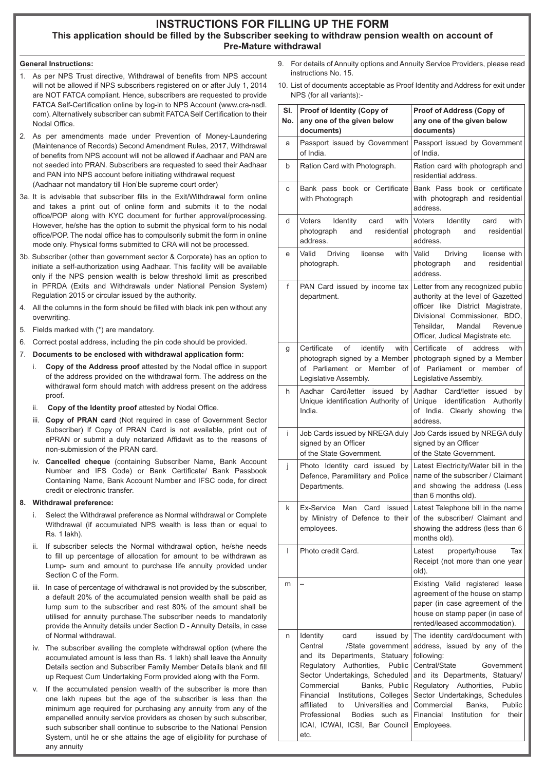# **INSTRUCTIONS FOR FILLING UP THE FORM This application should be filled by the Subscriber seeking to withdraw pension wealth on account of Pre-Mature withdrawal**

# **General Instructions:**

- 1. As per NPS Trust directive, Withdrawal of benefits from NPS account will not be allowed if NPS subscribers registered on or after July 1, 2014 are NOT FATCA compliant. Hence, subscribers are requested to provide FATCA Self-Certification online by log-in to NPS Account (www.cra-nsdl. com). Alternatively subscriber can submit FATCA Self Certification to their Nodal Office.
- 2. As per amendments made under Prevention of Money-Laundering (Maintenance of Records) Second Amendment Rules, 2017, Withdrawal of benefits from NPS account will not be allowed if Aadhaar and PAN are not seeded into PRAN. Subscribers are requested to seed their Aadhaar and PAN into NPS account before initiating withdrawal request (Aadhaar not mandatory till Hon'ble supreme court order)
- 3a. It is advisable that subscriber fills in the Exit/Withdrawal form online and takes a print out of online form and submits it to the nodal office/POP along with KYC document for further approval/processing. However, he/she has the option to submit the physical form to his nodal office/POP. The nodal office has to compulsorily submit the form in online mode only. Physical forms submitted to CRA will not be processed.
- 3b. Subscriber (other than government sector & Corporate) has an option to initiate a self-authorization using Aadhaar. This facility will be available only if the NPS pension wealth is below threshold limit as prescribed in PFRDA (Exits and Withdrawals under National Pension System) Regulation 2015 or circular issued by the authority.
- 4. All the columns in the form should be filled with black ink pen without any overwriting.
- 5. Fields marked with (\*) are mandatory.
- 6. Correct postal address, including the pin code should be provided.
- 7. **Documents to be enclosed with withdrawal application form:**
	- i. **Copy of the Address proof** attested by the Nodal office in support of the address provided on the withdrawal form. The address on the withdrawal form should match with address present on the address proof.
	- ii. **Copy of the Identity proof** attested by Nodal Office.
	- iii. **Copy of PRAN card** (Not required in case of Government Sector Subscriber) If Copy of PRAN Card is not available, print out of ePRAN or submit a duly notarized Affidavit as to the reasons of non-submission of the PRAN card.
	- iv. **Cancelled cheque** (containing Subscriber Name, Bank Account Number and IFS Code) or Bank Certificate/ Bank Passbook Containing Name, Bank Account Number and IFSC code, for direct credit or electronic transfer.

### **8. Withdrawal preference:**

- i. Select the Withdrawal preference as Normal withdrawal or Complete Withdrawal (if accumulated NPS wealth is less than or equal to Rs. 1 lakh).
- ii. If subscriber selects the Normal withdrawal option, he/she needs to fill up percentage of allocation for amount to be withdrawn as Lump- sum and amount to purchase life annuity provided under Section C of the Form.
- iii. In case of percentage of withdrawal is not provided by the subscriber, a default 20% of the accumulated pension wealth shall be paid as lump sum to the subscriber and rest 80% of the amount shall be utilised for annuity purchase.The subscriber needs to mandatorily provide the Annuity details under Section D - Annuity Details, in case of Normal withdrawal.
- iv. The subscriber availing the complete withdrawal option (where the accumulated amount is less than Rs. 1 lakh) shall leave the Annuity Details section and Subscriber Family Member Details blank and fill up Request Cum Undertaking Form provided along with the Form.
- v. If the accumulated pension wealth of the subscriber is more than one lakh rupees but the age of the subscriber is less than the minimum age required for purchasing any annuity from any of the empanelled annuity service providers as chosen by such subscriber, such subscriber shall continue to subscribe to the National Pension System, until he or she attains the age of eligibility for purchase of any annuity
- 9. For details of Annuity options and Annuity Service Providers, please read instructions No. 15.
- 10. List of documents acceptable as Proof Identity and Address for exit under NPS (for all variants):-

| SI.<br>No. | Proof of Identity (Copy of<br>any one of the given below<br>documents)                                                                                                                                                                                                                                                                                            | Proof of Address (Copy of<br>any one of the given below<br>documents)                                                                                                                                                                                                                                                      |  |
|------------|-------------------------------------------------------------------------------------------------------------------------------------------------------------------------------------------------------------------------------------------------------------------------------------------------------------------------------------------------------------------|----------------------------------------------------------------------------------------------------------------------------------------------------------------------------------------------------------------------------------------------------------------------------------------------------------------------------|--|
| a          | Passport issued by Government<br>of India.                                                                                                                                                                                                                                                                                                                        | Passport issued by Government<br>of India.                                                                                                                                                                                                                                                                                 |  |
| b          | Ration Card with Photograph.                                                                                                                                                                                                                                                                                                                                      | Ration card with photograph and<br>residential address.                                                                                                                                                                                                                                                                    |  |
| с          | Bank pass book or Certificate<br>with Photograph                                                                                                                                                                                                                                                                                                                  | Bank Pass book or certificate<br>with photograph and residential<br>address.                                                                                                                                                                                                                                               |  |
| d          | with<br>Voters<br>Identity<br>card<br>photograph<br>residential<br>and<br>address.                                                                                                                                                                                                                                                                                | Voters<br>Identity<br>card<br>with<br>photograph<br>residential<br>and<br>address.                                                                                                                                                                                                                                         |  |
| е          | Valid<br>Driving<br>license<br>with<br>photograph.                                                                                                                                                                                                                                                                                                                | Valid<br>Driving<br>license with<br>residential<br>photograph<br>and<br>address.                                                                                                                                                                                                                                           |  |
| f          | PAN Card issued by income tax<br>department.                                                                                                                                                                                                                                                                                                                      | Letter from any recognized public<br>authority at the level of Gazetted<br>officer like District Magistrate,<br>Divisional Commissioner, BDO,<br>Tehsildar,<br>Mandal<br>Revenue<br>Officer, Judical Magistrate etc.                                                                                                       |  |
| g          | Certificate<br>οf<br>identify<br>with<br>photograph signed by a Member<br>of Parliament or Member<br>of<br>Legislative Assembly.                                                                                                                                                                                                                                  | of<br>Certificate<br>address<br>with<br>photograph signed by a Member<br>of Parliament or member<br>οf<br>Legislative Assembly.                                                                                                                                                                                            |  |
| h          | Aadhar Card/letter<br>issued<br>by<br>Unique identification Authority of<br>India.                                                                                                                                                                                                                                                                                | Aadhar<br>Card/letter issued<br>by<br>identification<br>Authority<br>Unique<br>of India. Clearly showing<br>the<br>address.                                                                                                                                                                                                |  |
| i          | Job Cards issued by NREGA duly<br>signed by an Officer<br>of the State Government.                                                                                                                                                                                                                                                                                | Job Cards issued by NREGA duly<br>signed by an Officer<br>of the State Government.                                                                                                                                                                                                                                         |  |
| Ĵ          | Photo Identity card issued by<br>Defence, Paramilitary and Police<br>Departments.                                                                                                                                                                                                                                                                                 | Latest Electricity/Water bill in the<br>name of the subscriber / Claimant<br>and showing the address (Less<br>than 6 months old).                                                                                                                                                                                          |  |
| k          | Ex-Service<br>Man<br>Card<br>issued  <br>by Ministry of Defence to their<br>employees.                                                                                                                                                                                                                                                                            | Latest Telephone bill in the name<br>of the subscriber/ Claimant and<br>showing the address (less than 6<br>months old).                                                                                                                                                                                                   |  |
| I          | Photo credit Card.                                                                                                                                                                                                                                                                                                                                                | property/house<br>Latest<br>Tax<br>Receipt (not more than one year<br>old).                                                                                                                                                                                                                                                |  |
| m          |                                                                                                                                                                                                                                                                                                                                                                   | Existing Valid registered lease<br>agreement of the house on stamp<br>paper (in case agreement of the<br>house on stamp paper (in case of<br>rented/leased accommodation).                                                                                                                                                 |  |
| n          | Identity<br>issued by<br>card<br>Central<br>/State government<br>Departments, Statuary<br>and its<br>Authorities,<br>Regulatory<br>Public<br>Sector Undertakings, Scheduled<br>Commercial<br>Banks, Public<br>Financial Institutions, Colleges<br>affiliated<br>Universities and<br>to<br>Professional<br><b>Bodies</b><br>ICAI, ICWAI, ICSI, Bar Council<br>etc. | The identity card/document with<br>address, issued by any of the<br>following:<br>Central/State<br>Government<br>and its Departments, Statuary/<br>Regulatory Authorities,<br>Public<br>Sector Undertakings, Schedules<br>Commercial<br>Banks.<br>Public<br>such as Financial<br>Institution<br>for<br>their<br>Employees. |  |